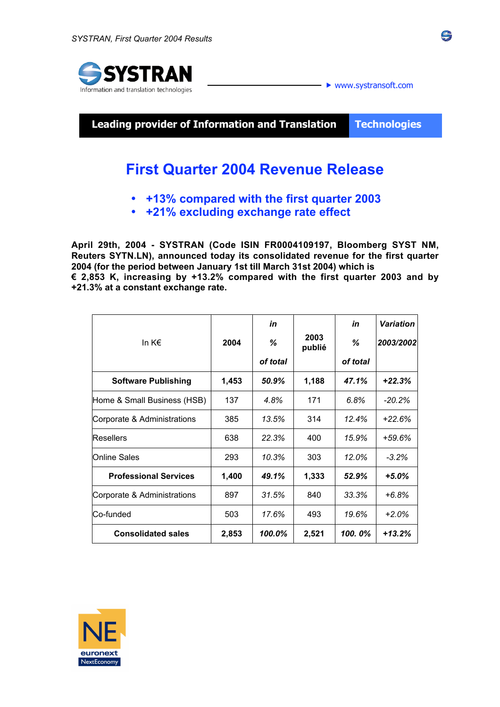

**Leading provider of Information and Translation Technologies**

# **First Quarter 2004 Revenue Release**

- **+13% compared with the first quarter 2003**
- **+21% excluding exchange rate effect**

**April 29th, 2004 - SYSTRAN (Code ISIN FR0004109197, Bloomberg SYST NM, Reuters SYTN.LN), announced today its consolidated revenue for the first quarter 2004 (for the period between January 1st till March 31st 2004) which is € 2,853 K, increasing by +13.2% compared with the first quarter 2003 and by +21.3% at a constant exchange rate.**

|                              |       | in       |                | in       | <b>Variation</b> |
|------------------------------|-------|----------|----------------|----------|------------------|
| In $K \in$                   | 2004  | ℅        | 2003<br>publié | ℅        | 2003/2002        |
|                              |       | of total |                | of total |                  |
| <b>Software Publishing</b>   | 1,453 | 50.9%    | 1,188          | 47.1%    | $+22.3%$         |
| Home & Small Business (HSB)  | 137   | 4.8%     | 171            | 6.8%     | $-20.2\%$        |
| Corporate & Administrations  | 385   | 13.5%    | 314            | 12.4%    | $+22.6%$         |
| <b>Resellers</b>             | 638   | 22.3%    | 400            | 15.9%    | $+59.6%$         |
| Online Sales                 | 293   | 10.3%    | 303            | 12.0%    | $-3.2%$          |
| <b>Professional Services</b> | 1,400 | 49.1%    | 1,333          | 52.9%    | $+5.0\%$         |
| Corporate & Administrations  | 897   | 31.5%    | 840            | 33.3%    | $+6.8%$          |
| Co-funded                    | 503   | 17.6%    | 493            | 19.6%    | $+2.0\%$         |
| <b>Consolidated sales</b>    | 2,853 | 100.0%   | 2,521          | 100.0%   | $+13.2%$         |



ŝ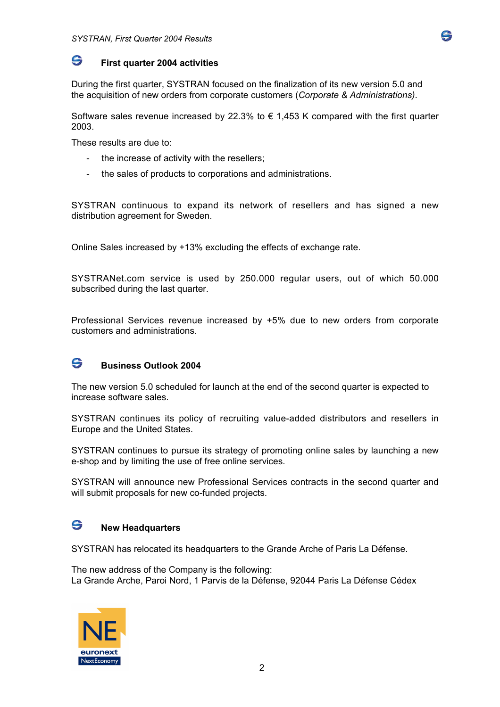

#### G. **First quarter 2004 activities**

During the first quarter, SYSTRAN focused on the finalization of its new version 5.0 and the acquisition of new orders from corporate customers (*Corporate & Administrations)*.

Software sales revenue increased by 22.3% to  $\epsilon$  1.453 K compared with the first quarter 2003.

These results are due to:

- the increase of activity with the resellers:
- the sales of products to corporations and administrations.

SYSTRAN continuous to expand its network of resellers and has signed a new distribution agreement for Sweden.

Online Sales increased by +13% excluding the effects of exchange rate.

SYSTRANet.com service is used by 250.000 regular users, out of which 50.000 subscribed during the last quarter.

Professional Services revenue increased by +5% due to new orders from corporate customers and administrations.

## G **Business Outlook 2004**

The new version 5.0 scheduled for launch at the end of the second quarter is expected to increase software sales.

SYSTRAN continues its policy of recruiting value-added distributors and resellers in Europe and the United States.

SYSTRAN continues to pursue its strategy of promoting online sales by launching a new e-shop and by limiting the use of free online services.

SYSTRAN will announce new Professional Services contracts in the second quarter and will submit proposals for new co-funded projects.

#### G **New Headquarters**

SYSTRAN has relocated its headquarters to the Grande Arche of Paris La Défense.

The new address of the Company is the following: La Grande Arche, Paroi Nord, 1 Parvis de la Défense, 92044 Paris La Défense Cédex